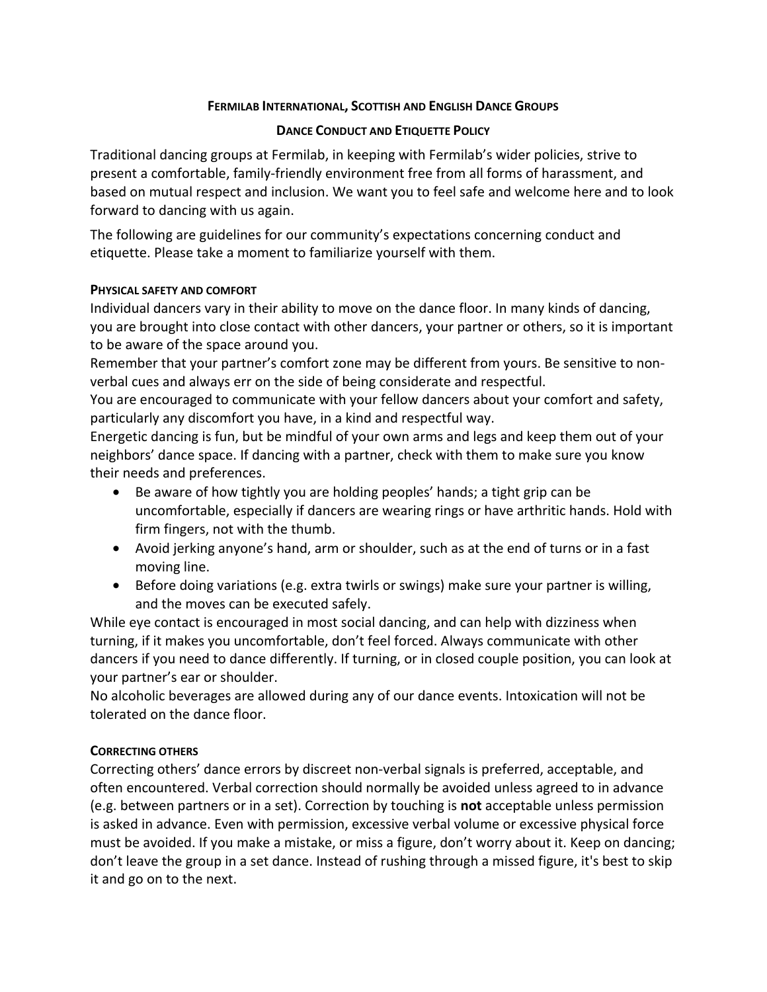# **FERMILAB INTERNATIONAL, SCOTTISH AND ENGLISH DANCE GROUPS**

## **DANCE CONDUCT AND ETIQUETTE POLICY**

Traditional dancing groups at Fermilab, in keeping with Fermilab's wider policies, strive to present a comfortable, family-friendly environment free from all forms of harassment, and based on mutual respect and inclusion. We want you to feel safe and welcome here and to look forward to dancing with us again.

The following are guidelines for our community's expectations concerning conduct and etiquette. Please take a moment to familiarize yourself with them.

## **PHYSICAL SAFETY AND COMFORT**

Individual dancers vary in their ability to move on the dance floor. In many kinds of dancing, you are brought into close contact with other dancers, your partner or others, so it is important to be aware of the space around you.

Remember that your partner's comfort zone may be different from yours. Be sensitive to nonverbal cues and always err on the side of being considerate and respectful.

You are encouraged to communicate with your fellow dancers about your comfort and safety, particularly any discomfort you have, in a kind and respectful way.

Energetic dancing is fun, but be mindful of your own arms and legs and keep them out of your neighbors' dance space. If dancing with a partner, check with them to make sure you know their needs and preferences.

- Be aware of how tightly you are holding peoples' hands; a tight grip can be uncomfortable, especially if dancers are wearing rings or have arthritic hands. Hold with firm fingers, not with the thumb.
- Avoid jerking anyone's hand, arm or shoulder, such as at the end of turns or in a fast moving line.
- Before doing variations (e.g. extra twirls or swings) make sure your partner is willing, and the moves can be executed safely.

While eye contact is encouraged in most social dancing, and can help with dizziness when turning, if it makes you uncomfortable, don't feel forced. Always communicate with other dancers if you need to dance differently. If turning, or in closed couple position, you can look at your partner's ear or shoulder.

No alcoholic beverages are allowed during any of our dance events. Intoxication will not be tolerated on the dance floor.

## **CORRECTING OTHERS**

Correcting others' dance errors by discreet non-verbal signals is preferred, acceptable, and often encountered. Verbal correction should normally be avoided unless agreed to in advance (e.g. between partners or in a set). Correction by touching is **not** acceptable unless permission is asked in advance. Even with permission, excessive verbal volume or excessive physical force must be avoided. If you make a mistake, or miss a figure, don't worry about it. Keep on dancing; don't leave the group in a set dance. Instead of rushing through a missed figure, it's best to skip it and go on to the next.